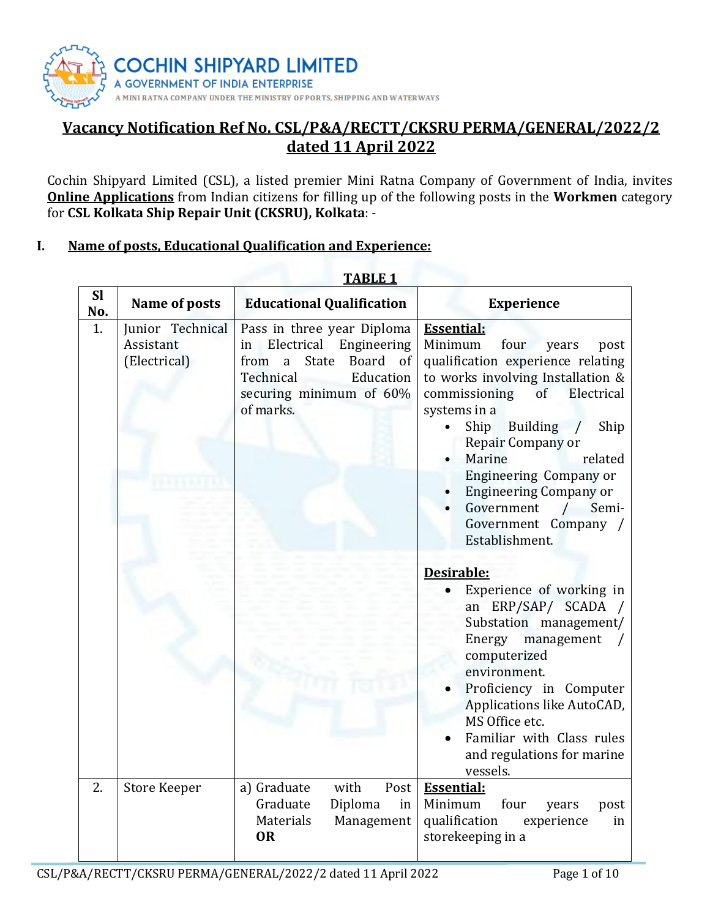

# **Vacancy Notification Ref No. CSL/P&A/RECTT/CKSRU PERMA/GENERAL/2022/2 dated 11 April 2022**

Cochin Shipyard Limited (CSL), a listed premier Mini Ratna Company of Government of India, invites **Online Applications** from Indian citizens for filling up of the following posts in the **Workmen** category for **CSL Kolkata Ship Repair Unit (CKSRU), Kolkata**: -

## **I. Name of posts, Educational Qualification and Experience:**

|                  | ADLL 1                                        |                                                                                                                                                                   |                                                                                                                                                                                                                                                                                                                                                                                                                                |  |
|------------------|-----------------------------------------------|-------------------------------------------------------------------------------------------------------------------------------------------------------------------|--------------------------------------------------------------------------------------------------------------------------------------------------------------------------------------------------------------------------------------------------------------------------------------------------------------------------------------------------------------------------------------------------------------------------------|--|
| <b>Sl</b><br>No. | Name of posts                                 | <b>Educational Qualification</b>                                                                                                                                  | <b>Experience</b>                                                                                                                                                                                                                                                                                                                                                                                                              |  |
| 1.               | Junior Technical<br>Assistant<br>(Electrical) | Pass in three year Diploma<br>Engineering<br>Electrical<br>in<br>State<br>Board of<br>from<br>a<br>Education<br>Technical<br>securing minimum of 60%<br>of marks. | <b>Essential:</b><br>Minimum<br>four<br>years<br>post<br>qualification experience relating<br>to works involving Installation &<br>commissioning<br>of<br>Electrical<br>systems in a<br>Ship<br><b>Building</b><br>Ship<br>$\sqrt{ }$<br>Repair Company or<br>Marine<br>related<br><b>Engineering Company or</b><br><b>Engineering Company or</b><br>Government<br>Semi-<br>$\prime$<br>Government Company /<br>Establishment. |  |
|                  |                                               |                                                                                                                                                                   | Desirable:<br>Experience of working in<br>an ERP/SAP/ SCADA<br>Substation management/<br>Energy<br>management<br>computerized<br>environment.<br>Proficiency in Computer<br>Applications like AutoCAD,<br>MS Office etc.<br>Familiar with Class rules<br>and regulations for marine<br>vessels.                                                                                                                                |  |
| $\overline{2}$ . | <b>Store Keeper</b>                           | with<br>Post<br>a) Graduate<br>Graduate<br>Diploma<br>in<br>Materials<br>Management<br><b>OR</b>                                                                  | <b>Essential:</b><br>four<br>Minimum<br>years<br>post<br>qualification<br>experience<br>in<br>storekeeping in a                                                                                                                                                                                                                                                                                                                |  |

**TABLE 1**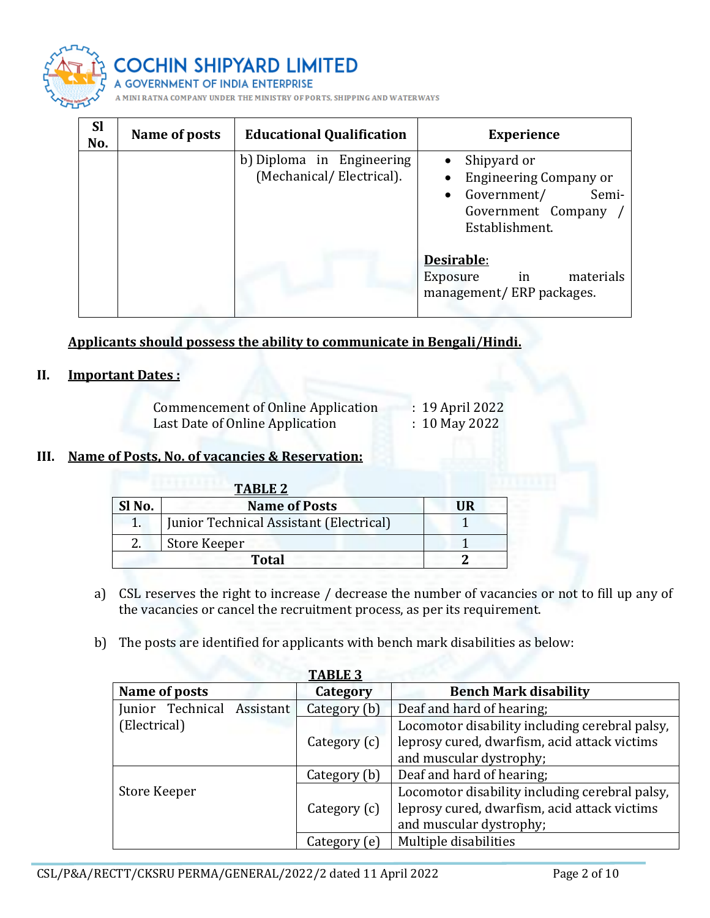

| <b>Sl</b><br>No. | Name of posts | <b>Educational Qualification</b>                      | <b>Experience</b>                                                                                            |
|------------------|---------------|-------------------------------------------------------|--------------------------------------------------------------------------------------------------------------|
|                  |               | b) Diploma in Engineering<br>(Mechanical/Electrical). | Shipyard or<br><b>Engineering Company or</b><br>Government/<br>Semi-<br>Government Company<br>Establishment. |
|                  |               |                                                       | Desirable:<br>materials<br>in<br>Exposure<br>management/ERP packages.                                        |

**Applicants should possess the ability to communicate in Bengali/Hindi.**

# **II. Important Dates :**

| Commencement of Online Application | : 19 April 2022 |
|------------------------------------|-----------------|
| Last Date of Online Application    | $: 10$ May 2022 |

#### **III. Name of Posts, No. of vacancies & Reservation:**

| <b>TABLE 2</b> |                                         |     |
|----------------|-----------------------------------------|-----|
| Sl No.         | <b>Name of Posts</b>                    | IIR |
|                | Junior Technical Assistant (Electrical) |     |
|                | Store Keeper                            |     |
|                |                                         |     |

- a) CSL reserves the right to increase / decrease the number of vacancies or not to fill up any of the vacancies or cancel the recruitment process, as per its requirement.
- b) The posts are identified for applicants with bench mark disabilities as below:

| <b>TABLE 3</b>             |              |                                                |  |
|----------------------------|--------------|------------------------------------------------|--|
| Name of posts              | Category     | <b>Bench Mark disability</b>                   |  |
| Junior Technical Assistant | Category (b) | Deaf and hard of hearing;                      |  |
| (Electrical)               |              | Locomotor disability including cerebral palsy, |  |
|                            | Category (c) | leprosy cured, dwarfism, acid attack victims   |  |
|                            |              | and muscular dystrophy;                        |  |
|                            | Category (b) | Deaf and hard of hearing;                      |  |
| Store Keeper               |              | Locomotor disability including cerebral palsy, |  |
|                            | Category (c) | leprosy cured, dwarfism, acid attack victims   |  |
|                            |              | and muscular dystrophy;                        |  |
|                            | Category (e) | Multiple disabilities                          |  |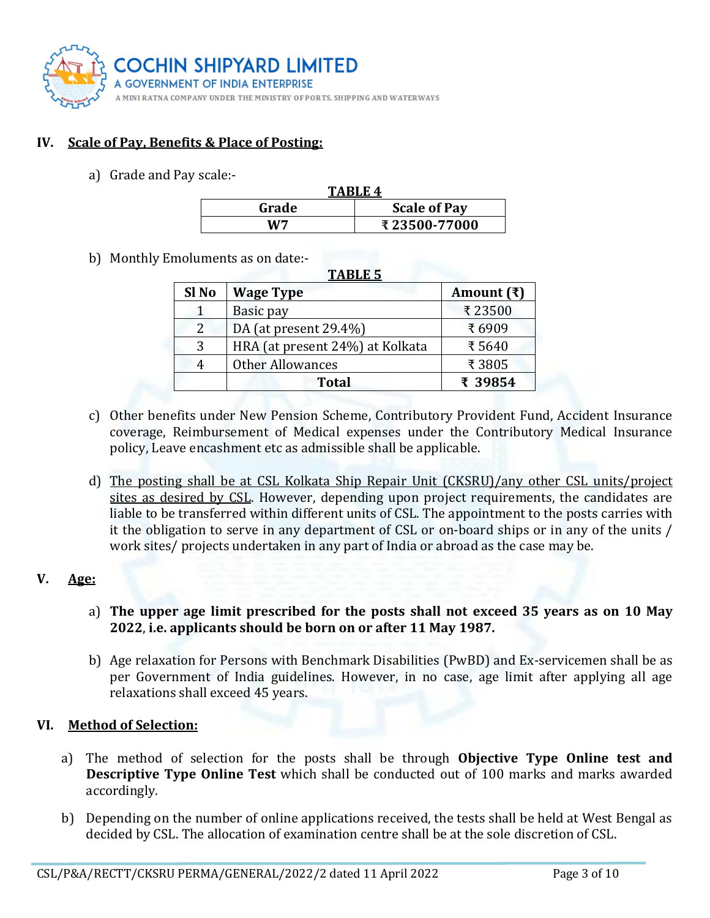

## **IV. Scale of Pay, Benefits & Place of Posting:**

a) Grade and Pay scale:-

| TARLE <sub>4</sub> |                     |  |
|--------------------|---------------------|--|
| Grade              | <b>Scale of Pay</b> |  |
| W7                 | ₹23500-77000        |  |

b) Monthly Emoluments as on date:-

| <b>TABLE 5</b> |                                 |                    |  |
|----------------|---------------------------------|--------------------|--|
| Sl No          | <b>Wage Type</b>                | Amount $(\bar{x})$ |  |
|                | Basic pay                       | ₹23500             |  |
| 2              | DA (at present 29.4%)           | ₹6909              |  |
|                | HRA (at present 24%) at Kolkata | ₹5640              |  |
| 4              | <b>Other Allowances</b>         | ₹3805              |  |
|                | <b>Total</b>                    | ₹ 39854            |  |

- c) Other benefits under New Pension Scheme, Contributory Provident Fund, Accident Insurance coverage, Reimbursement of Medical expenses under the Contributory Medical Insurance policy, Leave encashment etc as admissible shall be applicable.
- d) The posting shall be at CSL Kolkata Ship Repair Unit (CKSRU)/any other CSL units/project sites as desired by CSL. However, depending upon project requirements, the candidates are liable to be transferred within different units of CSL. The appointment to the posts carries with it the obligation to serve in any department of CSL or on-board ships or in any of the units / work sites/ projects undertaken in any part of India or abroad as the case may be.

## **V. Age:**

- a) **The upper age limit prescribed for the posts shall not exceed 35 years as on 10 May 2022**, **i.e. applicants should be born on or after 11 May 1987.**
- b) Age relaxation for Persons with Benchmark Disabilities (PwBD) and Ex-servicemen shall be as per Government of India guidelines. However, in no case, age limit after applying all age relaxations shall exceed 45 years.

#### **VI. Method of Selection:**

- a) The method of selection for the posts shall be through **Objective Type Online test and Descriptive Type Online Test** which shall be conducted out of 100 marks and marks awarded accordingly.
- b) Depending on the number of online applications received, the tests shall be held at West Bengal as decided by CSL. The allocation of examination centre shall be at the sole discretion of CSL.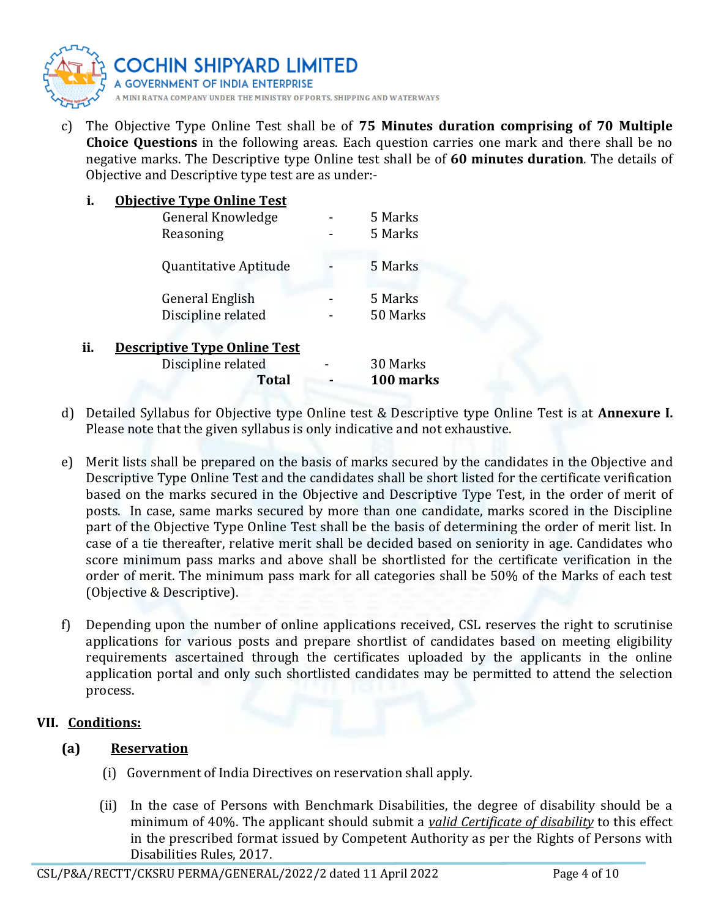

c) The Objective Type Online Test shall be of **75 Minutes duration comprising of 70 Multiple Choice Questions** in the following areas. Each question carries one mark and there shall be no negative marks. The Descriptive type Online test shall be of **60 minutes duration**. The details of Objective and Descriptive type test are as under:-

| i.  | <b>Objective Type Online Test</b>   |           |
|-----|-------------------------------------|-----------|
|     | General Knowledge                   | 5 Marks   |
|     | Reasoning                           | 5 Marks   |
|     | Quantitative Aptitude               | 5 Marks   |
|     | <b>General English</b>              | 5 Marks   |
|     | Discipline related                  | 50 Marks  |
| ii. | <b>Descriptive Type Online Test</b> |           |
|     | Discipline related                  | 30 Marks  |
|     | <b>Total</b>                        | 100 marks |

- d) Detailed Syllabus for Objective type Online test & Descriptive type Online Test is at **Annexure I.** Please note that the given syllabus is only indicative and not exhaustive.
- e) Merit lists shall be prepared on the basis of marks secured by the candidates in the Objective and Descriptive Type Online Test and the candidates shall be short listed for the certificate verification based on the marks secured in the Objective and Descriptive Type Test, in the order of merit of posts. In case, same marks secured by more than one candidate, marks scored in the Discipline part of the Objective Type Online Test shall be the basis of determining the order of merit list. In case of a tie thereafter, relative merit shall be decided based on seniority in age. Candidates who score minimum pass marks and above shall be shortlisted for the certificate verification in the order of merit. The minimum pass mark for all categories shall be 50% of the Marks of each test (Objective & Descriptive).
- f) Depending upon the number of online applications received, CSL reserves the right to scrutinise applications for various posts and prepare shortlist of candidates based on meeting eligibility requirements ascertained through the certificates uploaded by the applicants in the online application portal and only such shortlisted candidates may be permitted to attend the selection process.

## **VII. Conditions:**

## **(a) Reservation**

- (i) Government of India Directives on reservation shall apply.
- (ii) In the case of Persons with Benchmark Disabilities, the degree of disability should be a minimum of 40%. The applicant should submit a *valid Certificate of disability* to this effect in the prescribed format issued by Competent Authority as per the Rights of Persons with Disabilities Rules, 2017.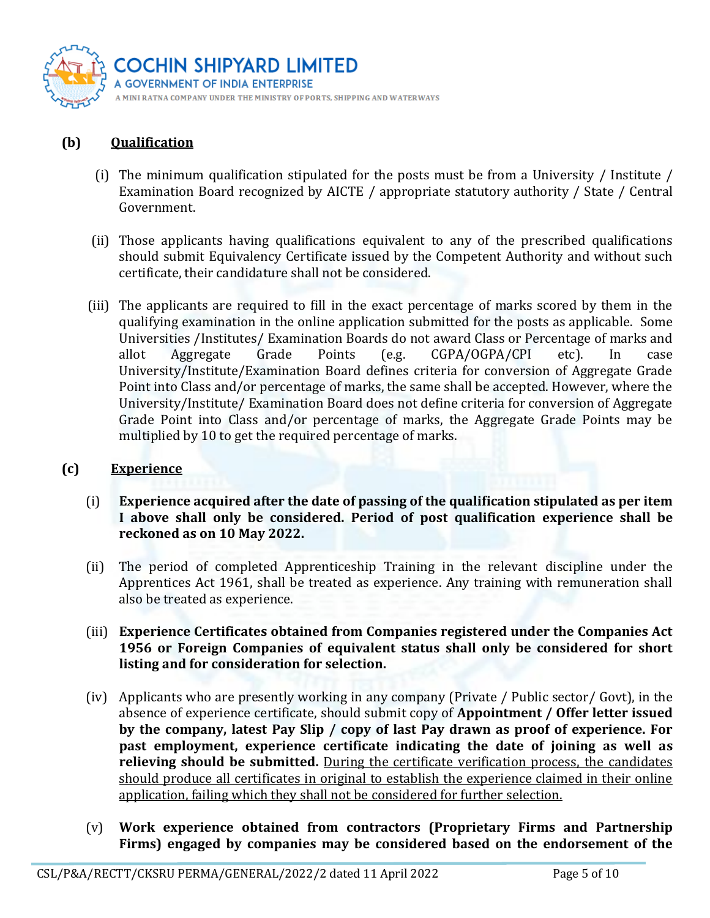

## **(b) Qualification**

- (i) The minimum qualification stipulated for the posts must be from a University / Institute / Examination Board recognized by AICTE / appropriate statutory authority / State / Central Government.
- (ii) Those applicants having qualifications equivalent to any of the prescribed qualifications should submit Equivalency Certificate issued by the Competent Authority and without such certificate, their candidature shall not be considered.
- (iii) The applicants are required to fill in the exact percentage of marks scored by them in the qualifying examination in the online application submitted for the posts as applicable. Some Universities /Institutes/ Examination Boards do not award Class or Percentage of marks and allot Aggregate Grade Points (e.g. CGPA/OGPA/CPI etc). In case University/Institute/Examination Board defines criteria for conversion of Aggregate Grade Point into Class and/or percentage of marks, the same shall be accepted. However, where the University/Institute/ Examination Board does not define criteria for conversion of Aggregate Grade Point into Class and/or percentage of marks, the Aggregate Grade Points may be multiplied by 10 to get the required percentage of marks.

#### **(c) Experience**

- (i) **Experience acquired after the date of passing of the qualification stipulated as per item I above shall only be considered. Period of post qualification experience shall be reckoned as on 10 May 2022.**
- (ii) The period of completed Apprenticeship Training in the relevant discipline under the Apprentices Act 1961, shall be treated as experience. Any training with remuneration shall also be treated as experience.
- (iii) **Experience Certificates obtained from Companies registered under the Companies Act 1956 or Foreign Companies of equivalent status shall only be considered for short listing and for consideration for selection.**
- (iv) Applicants who are presently working in any company (Private / Public sector/ Govt), in the absence of experience certificate, should submit copy of **Appointment / Offer letter issued by the company, latest Pay Slip / copy of last Pay drawn as proof of experience. For past employment, experience certificate indicating the date of joining as well as**  relieving should be submitted. During the certificate verification process, the candidates should produce all certificates in original to establish the experience claimed in their online application, failing which they shall not be considered for further selection.
- (v) **Work experience obtained from contractors (Proprietary Firms and Partnership Firms) engaged by companies may be considered based on the endorsement of the**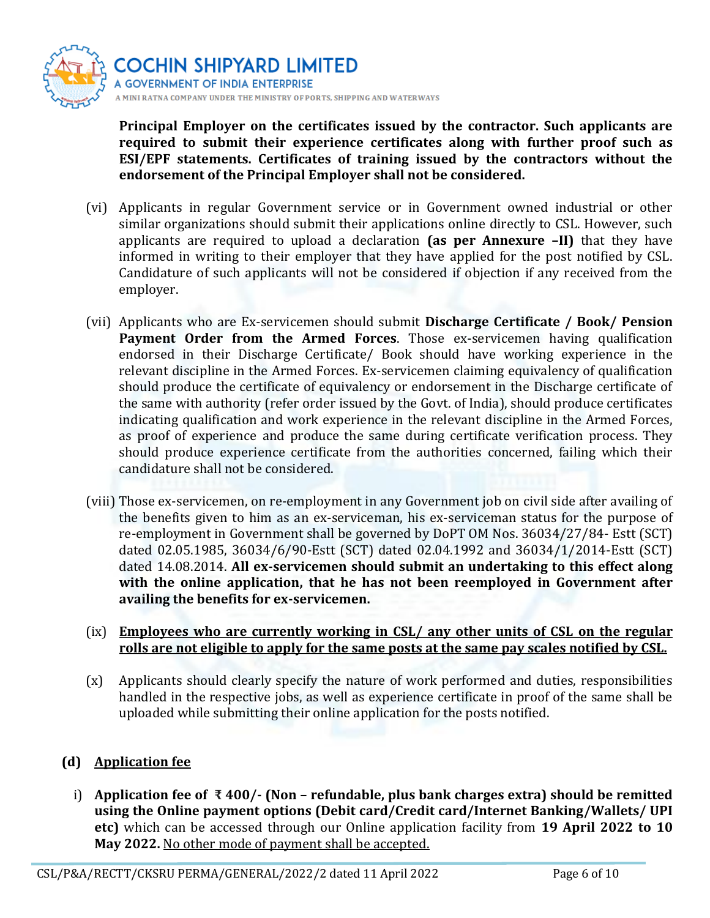

**Principal Employer on the certificates issued by the contractor. Such applicants are required to submit their experience certificates along with further proof such as ESI/EPF statements. Certificates of training issued by the contractors without the endorsement of the Principal Employer shall not be considered.**

- (vi) Applicants in regular Government service or in Government owned industrial or other similar organizations should submit their applications online directly to CSL. However, such applicants are required to upload a declaration **(as per Annexure –II)** that they have informed in writing to their employer that they have applied for the post notified by CSL. Candidature of such applicants will not be considered if objection if any received from the employer.
- (vii) Applicants who are Ex-servicemen should submit **Discharge Certificate / Book/ Pension Payment Order from the Armed Forces**. Those ex-servicemen having qualification endorsed in their Discharge Certificate/ Book should have working experience in the relevant discipline in the Armed Forces. Ex-servicemen claiming equivalency of qualification should produce the certificate of equivalency or endorsement in the Discharge certificate of the same with authority (refer order issued by the Govt. of India), should produce certificates indicating qualification and work experience in the relevant discipline in the Armed Forces, as proof of experience and produce the same during certificate verification process. They should produce experience certificate from the authorities concerned, failing which their candidature shall not be considered.
- (viii) Those ex-servicemen, on re-employment in any Government job on civil side after availing of the benefits given to him as an ex-serviceman, his ex-serviceman status for the purpose of re-employment in Government shall be governed by DoPT OM Nos. 36034/27/84- Estt (SCT) dated 02.05.1985, 36034/6/90-Estt (SCT) dated 02.04.1992 and 36034/1/2014-Estt (SCT) dated 14.08.2014. **All ex-servicemen should submit an undertaking to this effect along with the online application, that he has not been reemployed in Government after availing the benefits for ex-servicemen.**

#### (ix) **Employees who are currently working in CSL/ any other units of CSL on the regular rolls are not eligible to apply for the same posts at the same pay scales notified by CSL.**

(x) Applicants should clearly specify the nature of work performed and duties, responsibilities handled in the respective jobs, as well as experience certificate in proof of the same shall be uploaded while submitting their online application for the posts notified.

## **(d) Application fee**

i) **Application fee of ₹ 400/- (Non – refundable, plus bank charges extra) should be remitted using the Online payment options (Debit card/Credit card/Internet Banking/Wallets/ UPI etc)** which can be accessed through our Online application facility from **19 April 2022 to 10 May 2022.** No other mode of payment shall be accepted.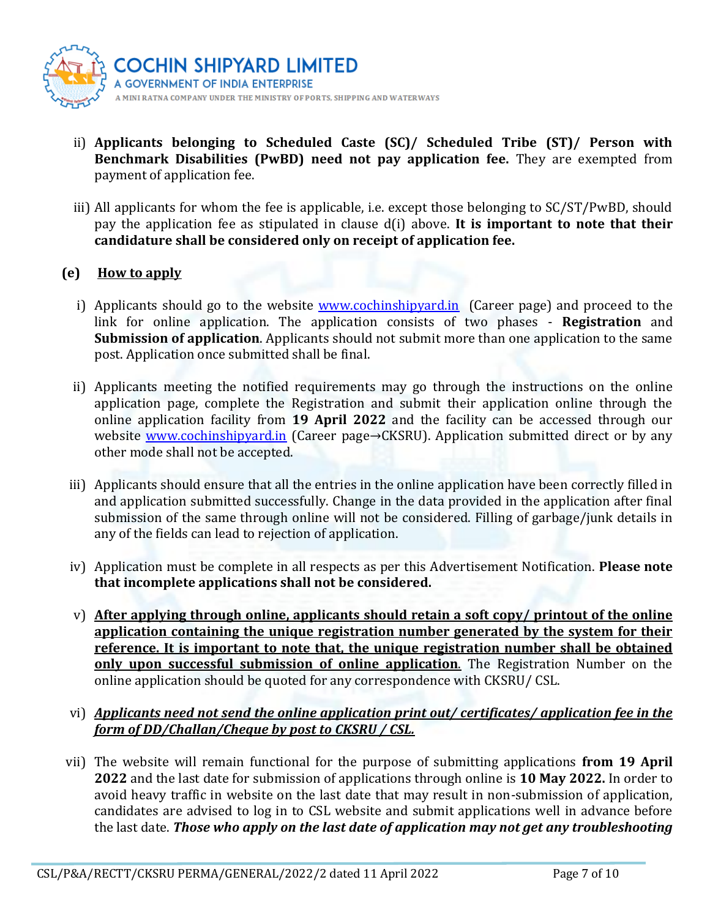

- ii) **Applicants belonging to Scheduled Caste (SC)/ Scheduled Tribe (ST)/ Person with Benchmark Disabilities (PwBD) need not pay application fee.** They are exempted from payment of application fee.
- iii) All applicants for whom the fee is applicable, i.e. except those belonging to SC/ST/PwBD, should pay the application fee as stipulated in clause d(i) above. **It is important to note that their candidature shall be considered only on receipt of application fee.**

#### **(e) How to apply**

- i) Applicants should go to the website [www.cochinshipyard.in](http://www.cochinshipyard.in/) (Career page) and proceed to the link for online application. The application consists of two phases - **Registration** and **Submission of application**. Applicants should not submit more than one application to the same post. Application once submitted shall be final.
- ii) Applicants meeting the notified requirements may go through the instructions on the online application page, complete the Registration and submit their application online through the online application facility from **19 April 2022** and the facility can be accessed through our website [www.cochinshipyard.in](http://www.cochinshipyard.in/) (Career page→CKSRU). Application submitted direct or by any other mode shall not be accepted.
- iii) Applicants should ensure that all the entries in the online application have been correctly filled in and application submitted successfully. Change in the data provided in the application after final submission of the same through online will not be considered. Filling of garbage/junk details in any of the fields can lead to rejection of application.
- iv) Application must be complete in all respects as per this Advertisement Notification. **Please note that incomplete applications shall not be considered.**
- v) **After applying through online, applicants should retain a soft copy/ printout of the online application containing the unique registration number generated by the system for their reference. It is important to note that, the unique registration number shall be obtained only upon successful submission of online application**. The Registration Number on the online application should be quoted for any correspondence with CKSRU/ CSL.
- vi) *Applicants need not send the online application print out/ certificates/ application fee in the form of DD/Challan/Cheque by post to CKSRU / CSL.*
- vii) The website will remain functional for the purpose of submitting applications **from 19 April 2022** and the last date for submission of applications through online is **10 May 2022.** In order to avoid heavy traffic in website on the last date that may result in non-submission of application, candidates are advised to log in to CSL website and submit applications well in advance before the last date. *Those who apply on the last date of application may not get any troubleshooting*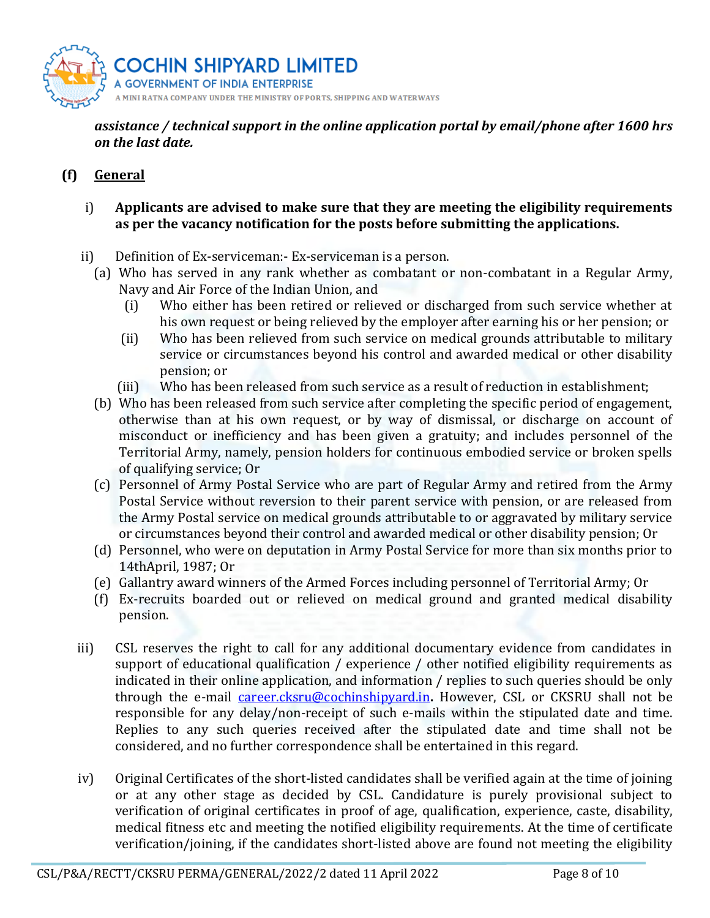

*assistance / technical support in the online application portal by email/phone after 1600 hrs on the last date.*

## **(f) General**

#### i) **Applicants are advised to make sure that they are meeting the eligibility requirements as per the vacancy notification for the posts before submitting the applications.**

- ii) Definition of Ex-serviceman:- Ex-serviceman is a person.
	- (a) Who has served in any rank whether as combatant or non-combatant in a Regular Army, Navy and Air Force of the Indian Union, and
		- (i) Who either has been retired or relieved or discharged from such service whether at his own request or being relieved by the employer after earning his or her pension; or
		- (ii) Who has been relieved from such service on medical grounds attributable to military service or circumstances beyond his control and awarded medical or other disability pension; or
		- (iii) Who has been released from such service as a result of reduction in establishment;
	- (b) Who has been released from such service after completing the specific period of engagement, otherwise than at his own request, or by way of dismissal, or discharge on account of misconduct or inefficiency and has been given a gratuity; and includes personnel of the Territorial Army, namely, pension holders for continuous embodied service or broken spells of qualifying service; Or
	- (c) Personnel of Army Postal Service who are part of Regular Army and retired from the Army Postal Service without reversion to their parent service with pension, or are released from the Army Postal service on medical grounds attributable to or aggravated by military service or circumstances beyond their control and awarded medical or other disability pension; Or
	- (d) Personnel, who were on deputation in Army Postal Service for more than six months prior to 14thApril, 1987; Or
	- (e) Gallantry award winners of the Armed Forces including personnel of Territorial Army; Or
	- (f) Ex-recruits boarded out or relieved on medical ground and granted medical disability pension.
- iii) CSL reserves the right to call for any additional documentary evidence from candidates in support of educational qualification / experience / other notified eligibility requirements as indicated in their online application, and information / replies to such queries should be only through the e-mail [career.cksru@cochinshipyard.in](mailto:career.cksru@cochinshipyard.in)**.** However, CSL or CKSRU shall not be responsible for any delay/non-receipt of such e-mails within the stipulated date and time. Replies to any such queries received after the stipulated date and time shall not be considered, and no further correspondence shall be entertained in this regard.
- iv) Original Certificates of the short-listed candidates shall be verified again at the time of joining or at any other stage as decided by CSL. Candidature is purely provisional subject to verification of original certificates in proof of age, qualification, experience, caste, disability, medical fitness etc and meeting the notified eligibility requirements. At the time of certificate verification/joining, if the candidates short-listed above are found not meeting the eligibility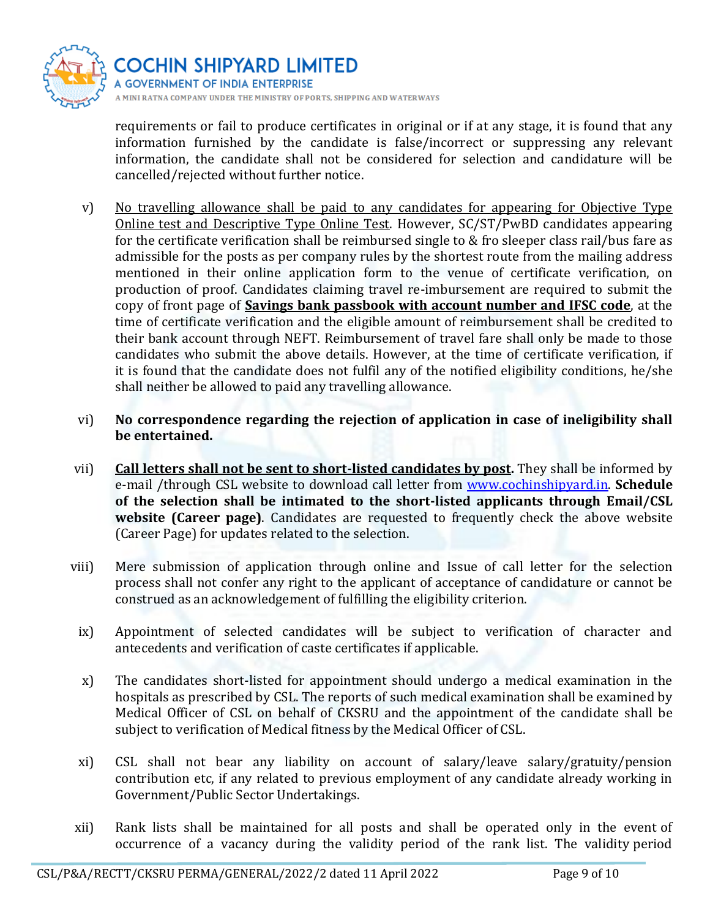

requirements or fail to produce certificates in original or if at any stage, it is found that any information furnished by the candidate is false/incorrect or suppressing any relevant information, the candidate shall not be considered for selection and candidature will be cancelled/rejected without further notice.

- v) No travelling allowance shall be paid to any candidates for appearing for Objective Type Online test and Descriptive Type Online Test. However, SC/ST/PwBD candidates appearing for the certificate verification shall be reimbursed single to & fro sleeper class rail/bus fare as admissible for the posts as per company rules by the shortest route from the mailing address mentioned in their online application form to the venue of certificate verification, on production of proof. Candidates claiming travel re-imbursement are required to submit the copy of front page of **Savings bank passbook with account number and IFSC code**, at the time of certificate verification and the eligible amount of reimbursement shall be credited to their bank account through NEFT. Reimbursement of travel fare shall only be made to those candidates who submit the above details. However, at the time of certificate verification, if it is found that the candidate does not fulfil any of the notified eligibility conditions, he/she shall neither be allowed to paid any travelling allowance.
- vi) **No correspondence regarding the rejection of application in case of ineligibility shall be entertained.**
- vii) **Call letters shall not be sent to short-listed candidates by post.** They shall be informed by e-mail /through CSL website to download call letter from [www.cochinshipyard.in.](http://www.cochinshipyard.in/) **Schedule of the selection shall be intimated to the short-listed applicants through Email/CSL website (Career page)**. Candidates are requested to frequently check the above website (Career Page) for updates related to the selection.
- viii) Mere submission of application through online and Issue of call letter for the selection process shall not confer any right to the applicant of acceptance of candidature or cannot be construed as an acknowledgement of fulfilling the eligibility criterion.
- ix) Appointment of selected candidates will be subject to verification of character and antecedents and verification of caste certificates if applicable.
- x) The candidates short-listed for appointment should undergo a medical examination in the hospitals as prescribed by CSL. The reports of such medical examination shall be examined by Medical Officer of CSL on behalf of CKSRU and the appointment of the candidate shall be subject to verification of Medical fitness by the Medical Officer of CSL.
- xi) CSL shall not bear any liability on account of salary/leave salary/gratuity/pension contribution etc, if any related to previous employment of any candidate already working in Government/Public Sector Undertakings.
- xii) Rank lists shall be maintained for all posts and shall be operated only in the event of occurrence of a vacancy during the validity period of the rank list. The validity period